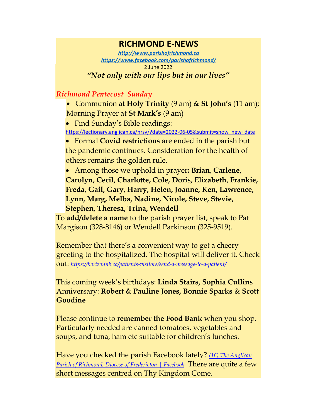## **RICHMOND E-NEWS**

*[http://www.parishofrichmond.ca](http://www.parishofrichmond.ca/) <https://www.facebook.com/parishofrichmond/>* 2 June 2022 *"Not only with our lips but in our lives"*

## *Richmond Pentecost Sunday*

• Communion at **Holy Trinity** (9 am) & **St John's** (11 am); Morning Prayer at **St Mark's** (9 am)

• Find Sunday's Bible readings: <https://lectionary.anglican.ca/nrsv/?date=2022-06-05&submit=show+new+date>

• Formal **Covid restrictions** are ended in the parish but the pandemic continues. Consideration for the health of others remains the golden rule.

• Among those we uphold in prayer**: Brian**, **Carlene, Carolyn, Cecil, Charlotte, Cole, Doris, Elizabeth**, **Frankie, Freda, Gail, Gary, Harry, Helen, Joanne, Ken, Lawrence, Lynn, Marg, Melba, Nadine, Nicole, Steve, Stevie, Stephen, Theresa, Trina, Wendell**

To **add/delete a name** to the parish prayer list, speak to Pat Margison (328-8146) or Wendell Parkinson (325-9519).

Remember that there's a convenient way to get a cheery greeting to the hospitalized. The hospital will deliver it. Check out: *<https://horizonnb.ca/patients-visitors/send-a-message-to-a-patient/>*

This coming week's birthdays: **Linda Stairs, Sophia Cullins** Anniversary: **Robert** & **Pauline Jones, Bonnie Sparks** & **Scott Goodine**

Please continue to **remember the Food Bank** when you shop. Particularly needed are canned tomatoes, vegetables and soups, and tuna, ham etc suitable for children's lunches.

Have you checked the parish Facebook lately? *[\(16\) The Anglican](https://www.facebook.com/parishofrichmond/)  [Parish of Richmond, Diocese of Fredericton | Facebook](https://www.facebook.com/parishofrichmond/)* There are quite a few short messages centred on Thy Kingdom Come.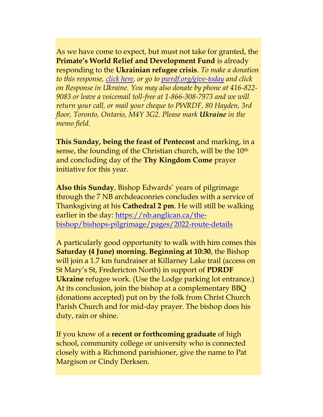As we have come to expect, but must not take for granted, the **Primate's World Relief and Development Fund** is already responding to the **Ukrainian refugee crisis**. *To make a donation to this response, [click here,](https://interland3.donorperfect.net/weblink/WebLink.aspx?name=E344492QE&id=45) or go to [pwrdf.org/give-today](https://pwrdf.org/pwrdf-supports-bc-floods-with-10000-grant/) and click on Response in Ukraine. You may also donate by phone at 416-822- 9083 or leave a voicemail toll-free at 1-866-308-7973 and we will return your call, or mail your cheque to PWRDF, 80 Hayden, 3rd floor, Toronto, Ontario, M4Y 3G2. Please mark Ukraine in the memo field.*

**This Sunday, being the feast of Pentecost** and marking, in a sense, the founding of the Christian church, will be the 10<sup>th</sup> and concluding day of the **Thy Kingdom Come** prayer initiative for this year.

**Also this Sunday**, Bishop Edwards' years of pilgrimage through the 7 NB archdeaconries concludes with a service of Thanksgiving at his **Cathedral 2 pm**. He will still be walking earlier in the day: [https://nb.anglican.ca/the](https://nb.anglican.ca/the-bishop/bishops-pilgrimage/pages/2022-route-details)[bishop/bishops-pilgrimage/pages/2022-route-details](https://nb.anglican.ca/the-bishop/bishops-pilgrimage/pages/2022-route-details)

A particularly good opportunity to walk with him comes this **Saturday (4 June) morning. Beginning at 10:30**, the Bishop will join a 1.7 km fundraiser at Killarney Lake trail (access on St Mary's St, Fredericton North) in support of **PDRDF Ukraine** refugee work. (Use the Lodge parking lot entrance.) At its conclusion, join the bishop at a complementary BBQ (donations accepted) put on by the folk from Christ Church Parish Church and for mid-day prayer. The bishop does his duty, rain or shine.

If you know of a **recent or forthcoming graduate** of high school, community college or university who is connected closely with a Richmond parishioner, give the name to Pat Margison or Cindy Derksen.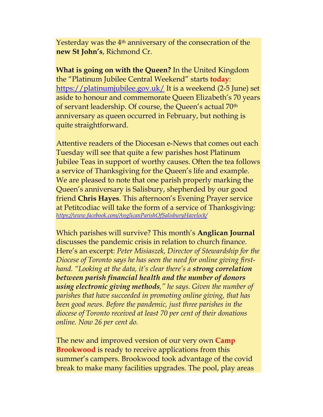Yesterday was the 4<sup>th</sup> anniversary of the consecration of the **new St John's**, Richmond Cr.

**What is going on with the Queen?** In the United Kingdom the "Platinum Jubilee Central Weekend" starts **today**: <https://platinumjubilee.gov.uk/> It is a weekend (2-5 June) set aside to honour and commemorate Queen Elizabeth's 70 years of servant leadership. Of course, the Queen's actual 70th anniversary as queen occurred in February, but nothing is quite straightforward.

Attentive readers of the Diocesan e-News that comes out each Tuesday will see that quite a few parishes host Platinum Jubilee Teas in support of worthy causes. Often the tea follows a service of Thanksgiving for the Queen's life and example. We are pleased to note that one parish properly marking the Queen's anniversary is Salisbury, shepherded by our good friend **Chris Hayes**. This afternoon's Evening Prayer service at Petitcodiac will take the form of a service of Thanksgiving: *<https://www.facebook.com/AnglicanParishOfSalisburyHavelock/>*

Which parishes will survive? This month's **Anglican Journal** discusses the pandemic crisis in relation to church finance. Here's an excerpt: *Peter Misiaszek, Director of Stewardship for the Diocese of Toronto says he has seen the need for online giving firsthand. "Looking at the data, it's clear there's a strong correlation between parish financial health and the number of donors using electronic giving methods," he says. Given the number of parishes that have succeeded in promoting online giving, that has been good news. Before the pandemic, just three parishes in the diocese of Toronto received at least 70 per cent of their donations online. Now 26 per cent do.* 

The new and improved version of our very own **Camp Brookwood** is ready to receive applications from this summer's campers. Brookwood took advantage of the covid break to make many facilities upgrades. The pool, play areas